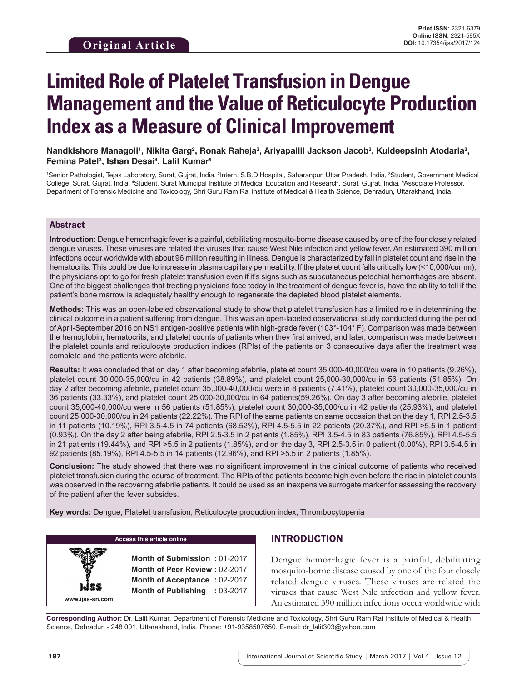Nandkishore Managoli<sup>ı</sup>, Nikita Garg<sup>2</sup>, Ronak Raheja<sup>3</sup>, Ariyapallil Jackson Jacob<sup>3</sup>, Kuldeepsinh Atodaria<sup>3</sup>, **Femina Patel3 , Ishan Desai4 , Lalit Kumar5**

<sup>1</sup>Senior Pathologist, Tejas Laboratory, Surat, Gujrat, India, <sup>2</sup>Intern, S.B.D Hospital, Saharanpur, Uttar Pradesh, India, <sup>3</sup>Student, Government Medical College, Surat, Gujrat, India, <sup>4</sup>Student, Surat Municipal Institute of Medical Education and Research, Surat, Gujrat, India, <sup>5</sup>Associate Professor, Department of Forensic Medicine and Toxicology, Shri Guru Ram Rai Institute of Medical & Health Science, Dehradun, Uttarakhand, India

#### Abstract

**Introduction:** Dengue hemorrhagic fever is a painful, debilitating mosquito-borne disease caused by one of the four closely related dengue viruses. These viruses are related the viruses that cause West Nile infection and yellow fever. An estimated 390 million infections occur worldwide with about 96 million resulting in illness. Dengue is characterized by fall in platelet count and rise in the hematocrits. This could be due to increase in plasma capillary permeability. If the platelet count falls critically low (<10,000/cumm), the physicians opt to go for fresh platelet transfusion even if it's signs such as subcutaneous petechial hemorrhages are absent. One of the biggest challenges that treating physicians face today in the treatment of dengue fever is, have the ability to tell if the patient's bone marrow is adequately healthy enough to regenerate the depleted blood platelet elements.

**Methods:** This was an open-labeled observational study to show that platelet transfusion has a limited role in determining the clinical outcome in a patient suffering from dengue. This was an open-labeled observational study conducted during the period of April-September 2016 on NS1 antigen-positive patients with high-grade fever (103°-104° F). Comparison was made between the hemoglobin, hematocrits, and platelet counts of patients when they first arrived, and later, comparison was made between the platelet counts and reticulocyte production indices (RPIs) of the patients on 3 consecutive days after the treatment was complete and the patients were afebrile.

**Results:** It was concluded that on day 1 after becoming afebrile, platelet count 35,000-40,000/cu were in 10 patients (9.26%), platelet count 30,000-35,000/cu in 42 patients (38.89%), and platelet count 25,000-30,000/cu in 56 patients (51.85%). On day 2 after becoming afebrile, platelet count 35,000-40,000/cu were in 8 patients (7.41%), platelet count 30,000-35,000/cu in 36 patients (33.33%), and platelet count 25,000-30,000/cu in 64 patients(59.26%). On day 3 after becoming afebrile, platelet count 35,000-40,000/cu were in 56 patients (51.85%), platelet count 30,000-35,000/cu in 42 patients (25.93%), and platelet count 25,000-30,000/cu in 24 patients (22.22%). The RPI of the same patients on same occasion that on the day 1, RPI 2.5-3.5 in 11 patients (10.19%), RPI 3.5-4.5 in 74 patients (68.52%), RPI 4.5-5.5 in 22 patients (20.37%), and RPI >5.5 in 1 patient (0.93%). On the day 2 after being afebrile, RPI 2.5-3.5 in 2 patients (1.85%), RPI 3.5-4.5 in 83 patients (76.85%), RPI 4.5-5.5 in 21 patients (19.44%), and RPI >5.5 in 2 patients (1.85%), and on the day 3, RPI 2.5-3.5 in 0 patient (0.00%), RPI 3.5-4.5 in 92 patients (85.19%), RPI 4.5-5.5 in 14 patients (12.96%), and RPI >5.5 in 2 patients (1.85%).

**Conclusion:** The study showed that there was no significant improvement in the clinical outcome of patients who received platelet transfusion during the course of treatment. The RPIs of the patients became high even before the rise in platelet counts was observed in the recovering afebrile patients. It could be used as an inexpensive surrogate marker for assessing the recovery of the patient after the fever subsides.

**Key words:** Dengue, Platelet transfusion, Reticulocyte production index, Thrombocytopenia

| Access this article online |  |  |  |  |
|----------------------------|--|--|--|--|
|                            |  |  |  |  |

**Month of Submission :** 01-2017 **Month of Peer Review :** 02-2017 **Month of Acceptance :** 02-2017 **Month of Publishing :** 03-2017

# INTRODUCTION

Dengue hemorrhagic fever is a painful, debilitating mosquito-borne disease caused by one of the four closely related dengue viruses. These viruses are related the viruses that cause West Nile infection and yellow fever. An estimated 390 million infections occur worldwide with

**Corresponding Author:** Dr. Lalit Kumar, Department of Forensic Medicine and Toxicology, Shri Guru Ram Rai Institute of Medical & Health Science, Dehradun - 248 001, Uttarakhand, India. Phone: +91-9358507650. E-mail: dr\_lalit303@yahoo.com

**www.ijss-sn.com**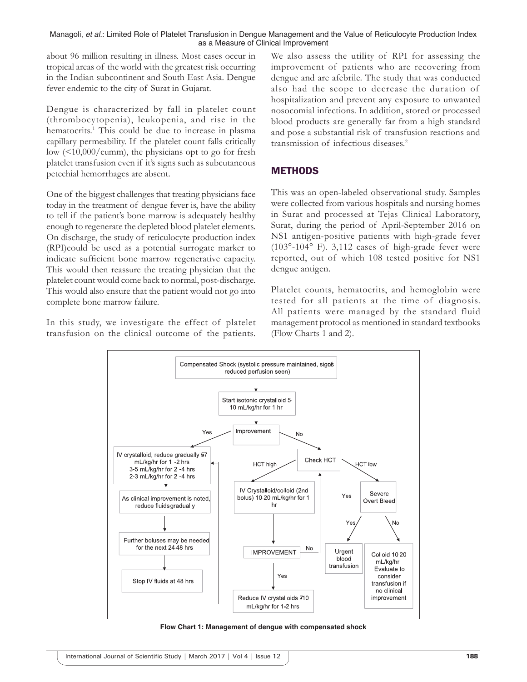about 96 million resulting in illness. Most cases occur in tropical areas of the world with the greatest risk occurring in the Indian subcontinent and South East Asia. Dengue fever endemic to the city of Surat in Gujarat.

Dengue is characterized by fall in platelet count (thrombocytopenia), leukopenia, and rise in the hematocrits.<sup>1</sup> This could be due to increase in plasma capillary permeability. If the platelet count falls critically low (<10,000/cumm), the physicians opt to go for fresh platelet transfusion even if it's signs such as subcutaneous petechial hemorrhages are absent.

One of the biggest challenges that treating physicians face today in the treatment of dengue fever is, have the ability to tell if the patient's bone marrow is adequately healthy enough to regenerate the depleted blood platelet elements. On discharge, the study of reticulocyte production index (RPI)could be used as a potential surrogate marker to indicate sufficient bone marrow regenerative capacity. This would then reassure the treating physician that the platelet count would come back to normal, post-discharge. This would also ensure that the patient would not go into complete bone marrow failure.

In this study, we investigate the effect of platelet transfusion on the clinical outcome of the patients. We also assess the utility of RPI for assessing the improvement of patients who are recovering from dengue and are afebrile. The study that was conducted also had the scope to decrease the duration of hospitalization and prevent any exposure to unwanted nosocomial infections. In addition, stored or processed blood products are generally far from a high standard and pose a substantial risk of transfusion reactions and transmission of infectious diseases.2

## **METHODS**

This was an open-labeled observational study. Samples were collected from various hospitals and nursing homes in Surat and processed at Tejas Clinical Laboratory, Surat, during the period of April-September 2016 on NS1 antigen-positive patients with high-grade fever (103°-104° F). 3,112 cases of high-grade fever were reported, out of which 108 tested positive for NS1 dengue antigen.

Platelet counts, hematocrits, and hemoglobin were tested for all patients at the time of diagnosis. All patients were managed by the standard fluid management protocol as mentioned in standard textbooks (Flow Charts 1 and 2).



**Flow Chart 1: Management of dengue with compensated shock**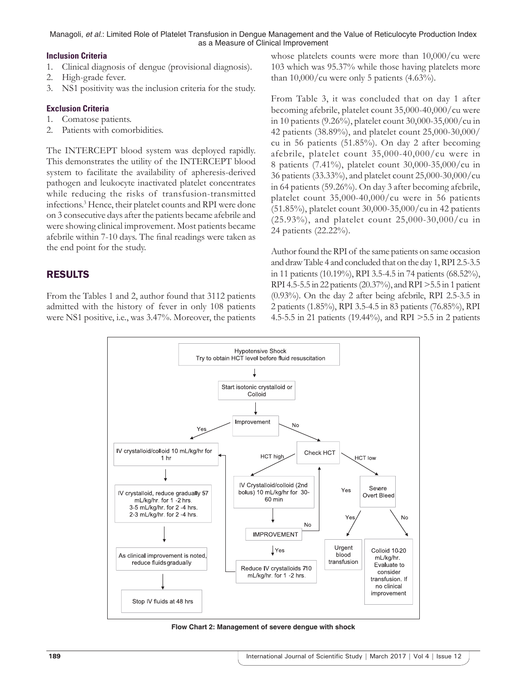## **Inclusion Criteria**

- 1. Clinical diagnosis of dengue (provisional diagnosis).
- 2. High-grade fever.
- 3. NS1 positivity was the inclusion criteria for the study.

## **Exclusion Criteria**

- 1. Comatose patients.
- 2. Patients with comorbidities.

The INTERCEPT blood system was deployed rapidly. This demonstrates the utility of the INTERCEPT blood system to facilitate the availability of apheresis-derived pathogen and leukocyte inactivated platelet concentrates while reducing the risks of transfusion-transmitted infections.3 Hence, their platelet counts and RPI were done on 3 consecutive days after the patients became afebrile and were showing clinical improvement. Most patients became afebrile within 7-10 days. The final readings were taken as the end point for the study.

# RESULTS

From the Tables 1 and 2, author found that 3112 patients admitted with the history of fever in only 108 patients were NS1 positive, i.e., was 3.47%. Moreover, the patients whose platelets counts were more than 10,000/cu were 103 which was 95.37% while those having platelets more than  $10,000/cu$  were only 5 patients (4.63%).

From Table 3, it was concluded that on day 1 after becoming afebrile, platelet count 35,000-40,000/cu were in 10 patients (9.26%), platelet count 30,000-35,000/cu in 42 patients (38.89%), and platelet count 25,000-30,000/ cu in 56 patients (51.85%). On day 2 after becoming afebrile, platelet count 35,000-40,000/cu were in 8 patients (7.41%), platelet count 30,000-35,000/cu in 36 patients (33.33%), and platelet count 25,000-30,000/cu in 64 patients (59.26%). On day 3 after becoming afebrile, platelet count 35,000-40,000/cu were in 56 patients (51.85%), platelet count 30,000-35,000/cu in 42 patients (25.93%), and platelet count 25,000-30,000/cu in 24 patients (22.22%).

Author found the RPI of the same patients on same occasion and draw Table 4 and concluded that on the day 1, RPI 2.5-3.5 in 11 patients (10.19%), RPI 3.5-4.5 in 74 patients (68.52%), RPI 4.5-5.5 in 22 patients (20.37%), and RPI >5.5 in 1 patient (0.93%). On the day 2 after being afebrile, RPI 2.5-3.5 in 2 patients (1.85%), RPI 3.5-4.5 in 83 patients (76.85%), RPI 4.5-5.5 in 21 patients (19.44%), and RPI >5.5 in 2 patients



**Flow Chart 2: Management of severe dengue with shock**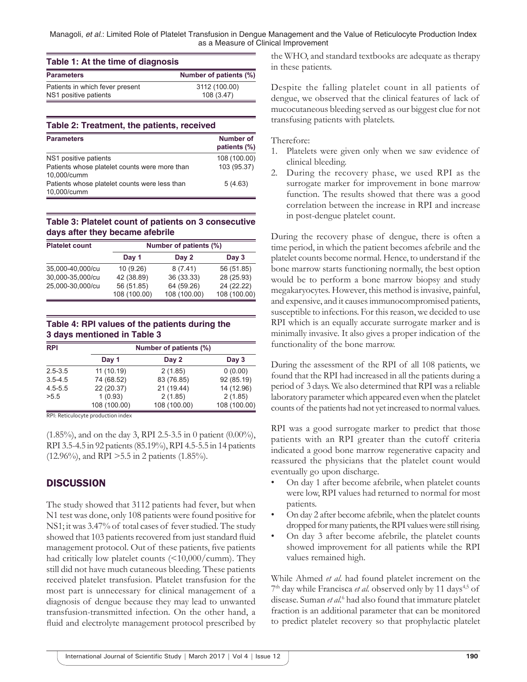| Table 1: At the time of diagnosis |                        |  |  |
|-----------------------------------|------------------------|--|--|
| <b>Parameters</b>                 | Number of patients (%) |  |  |
| Patients in which fever present   | 3112 (100.00)          |  |  |
| NS1 positive patients             | 108 (3.47)             |  |  |

#### **Table 2: Treatment, the patients, received**

| <b>Parameters</b>                             | <b>Number of</b><br>patients (%) |
|-----------------------------------------------|----------------------------------|
| NS1 positive patients                         | 108 (100.00)                     |
| Patients whose platelet counts were more than | 103 (95.37)                      |
| 10,000/cumm                                   |                                  |
| Patients whose platelet counts were less than | 5(4.63)                          |
| 10,000/cumm                                   |                                  |

#### **Table 3: Platelet count of patients on 3 consecutive days after they became afebrile**

| <b>Platelet count</b> | Number of patients (%) |              |              |  |  |
|-----------------------|------------------------|--------------|--------------|--|--|
|                       | Day 1                  | Day 2        | Day $3$      |  |  |
| 35,000-40,000/cu      | 10(9.26)               | 8(7.41)      | 56 (51.85)   |  |  |
| 30,000-35,000/cu      | 42 (38.89)             | 36 (33.33)   | 28 (25.93)   |  |  |
| 25,000-30,000/cu      | 56 (51.85)             | 64 (59.26)   | 24 (22.22)   |  |  |
|                       | 108 (100.00)           | 108 (100.00) | 108 (100.00) |  |  |

## **Table 4: RPI values of the patients during the 3 days mentioned in Table 3**

| <b>RPI</b>  |              | Number of patients (%) |              |
|-------------|--------------|------------------------|--------------|
|             | Day 1        | Day 2                  | Day $3$      |
| $2.5 - 3.5$ | 11 (10.19)   | 2(1.85)                | 0(0.00)      |
| $3.5 - 4.5$ | 74 (68.52)   | 83 (76.85)             | 92 (85.19)   |
| $4.5 - 5.5$ | 22 (20.37)   | 21 (19.44)             | 14 (12.96)   |
| >5.5        | 1(0.93)      | 2(1.85)                | 2(1.85)      |
|             | 108 (100.00) | 108 (100.00)           | 108 (100.00) |

RPI: Reticulocyte production index

(1.85%), and on the day 3, RPI 2.5-3.5 in 0 patient (0.00%), RPI 3.5-4.5 in 92 patients (85.19%), RPI 4.5-5.5 in 14 patients (12.96%), and RPI >5.5 in 2 patients (1.85%).

## **DISCUSSION**

The study showed that 3112 patients had fever, but when N1 test was done, only 108 patients were found positive for NS1; it was 3.47% of total cases of fever studied. The study showed that 103 patients recovered from just standard fluid management protocol. Out of these patients, five patients had critically low platelet counts (<10,000/cumm). They still did not have much cutaneous bleeding. These patients received platelet transfusion. Platelet transfusion for the most part is unnecessary for clinical management of a diagnosis of dengue because they may lead to unwanted transfusion-transmitted infection. On the other hand, a fluid and electrolyte management protocol prescribed by

the WHO, and standard textbooks are adequate as therapy in these patients.

Despite the falling platelet count in all patients of dengue, we observed that the clinical features of lack of mucocutaneous bleeding served as our biggest clue for not transfusing patients with platelets.

#### Therefore:

- 1. Platelets were given only when we saw evidence of clinical bleeding.
- 2. During the recovery phase, we used RPI as the surrogate marker for improvement in bone marrow function. The results showed that there was a good correlation between the increase in RPI and increase in post-dengue platelet count.

During the recovery phase of dengue, there is often a time period, in which the patient becomes afebrile and the platelet counts become normal. Hence, to understand if the bone marrow starts functioning normally, the best option would be to perform a bone marrow biopsy and study megakaryocytes. However, this method is invasive, painful, and expensive, and it causes immunocompromised patients, susceptible to infections. For this reason, we decided to use RPI which is an equally accurate surrogate marker and is minimally invasive. It also gives a proper indication of the functionality of the bone marrow.

During the assessment of the RPI of all 108 patients, we found that the RPI had increased in all the patients during a period of 3 days. We also determined that RPI was a reliable laboratory parameter which appeared even when the platelet counts of the patients had not yet increased to normal values.

RPI was a good surrogate marker to predict that those patients with an RPI greater than the cutoff criteria indicated a good bone marrow regenerative capacity and reassured the physicians that the platelet count would eventually go upon discharge.

- On day 1 after become afebrile, when platelet counts were low, RPI values had returned to normal for most patients.
- On day 2 after become afebrile, when the platelet counts dropped for many patients, the RPI values were still rising.
- On day 3 after become afebrile, the platelet counts showed improvement for all patients while the RPI values remained high.

While Ahmed *et al*. had found platelet increment on the 7<sup>th</sup> day while Francisca *et al.* observed only by 11 days<sup>4,5</sup> of disease. Suman *et al.*<sup>6</sup> had also found that immature platelet fraction is an additional parameter that can be monitored to predict platelet recovery so that prophylactic platelet